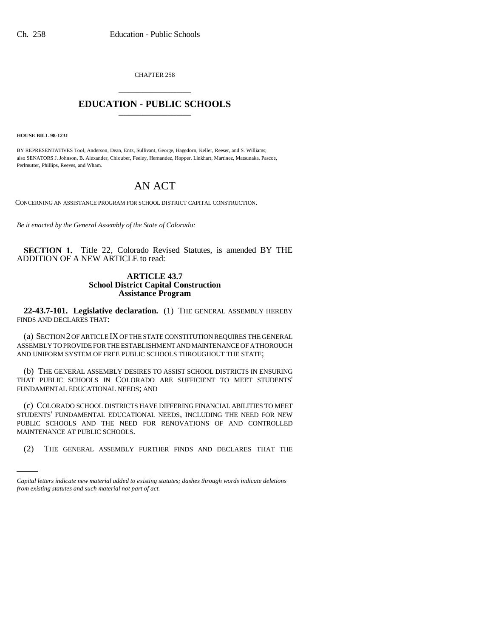CHAPTER 258 \_\_\_\_\_\_\_\_\_\_\_\_\_\_\_

## **EDUCATION - PUBLIC SCHOOLS** \_\_\_\_\_\_\_\_\_\_\_\_\_\_\_

**HOUSE BILL 98-1231**

BY REPRESENTATIVES Tool, Anderson, Dean, Entz, Sullivant, George, Hagedorn, Keller, Reeser, and S. Williams; also SENATORS J. Johnson, B. Alexander, Chlouber, Feeley, Hernandez, Hopper, Linkhart, Martinez, Matsunaka, Pascoe, Perlmutter, Phillips, Reeves, and Wham.

## AN ACT

CONCERNING AN ASSISTANCE PROGRAM FOR SCHOOL DISTRICT CAPITAL CONSTRUCTION.

*Be it enacted by the General Assembly of the State of Colorado:*

**SECTION 1.** Title 22, Colorado Revised Statutes, is amended BY THE ADDITION OF A NEW ARTICLE to read:

## **ARTICLE 43.7 School District Capital Construction Assistance Program**

**22-43.7-101. Legislative declaration.** (1) THE GENERAL ASSEMBLY HEREBY FINDS AND DECLARES THAT:

(a) SECTION 2 OF ARTICLE IX OF THE STATE CONSTITUTION REQUIRES THE GENERAL ASSEMBLY TO PROVIDE FOR THE ESTABLISHMENT AND MAINTENANCE OF A THOROUGH AND UNIFORM SYSTEM OF FREE PUBLIC SCHOOLS THROUGHOUT THE STATE;

(b) THE GENERAL ASSEMBLY DESIRES TO ASSIST SCHOOL DISTRICTS IN ENSURING THAT PUBLIC SCHOOLS IN COLORADO ARE SUFFICIENT TO MEET STUDENTS' FUNDAMENTAL EDUCATIONAL NEEDS; AND

MAINTENANCE AT PUBLIC SCHOOLS. (c) COLORADO SCHOOL DISTRICTS HAVE DIFFERING FINANCIAL ABILITIES TO MEET STUDENTS' FUNDAMENTAL EDUCATIONAL NEEDS, INCLUDING THE NEED FOR NEW PUBLIC SCHOOLS AND THE NEED FOR RENOVATIONS OF AND CONTROLLED

(2) THE GENERAL ASSEMBLY FURTHER FINDS AND DECLARES THAT THE

*Capital letters indicate new material added to existing statutes; dashes through words indicate deletions from existing statutes and such material not part of act.*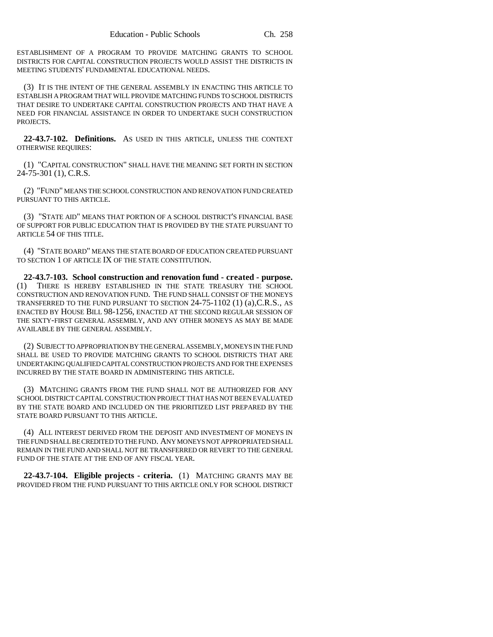ESTABLISHMENT OF A PROGRAM TO PROVIDE MATCHING GRANTS TO SCHOOL DISTRICTS FOR CAPITAL CONSTRUCTION PROJECTS WOULD ASSIST THE DISTRICTS IN MEETING STUDENTS' FUNDAMENTAL EDUCATIONAL NEEDS.

(3) IT IS THE INTENT OF THE GENERAL ASSEMBLY IN ENACTING THIS ARTICLE TO ESTABLISH A PROGRAM THAT WILL PROVIDE MATCHING FUNDS TO SCHOOL DISTRICTS THAT DESIRE TO UNDERTAKE CAPITAL CONSTRUCTION PROJECTS AND THAT HAVE A NEED FOR FINANCIAL ASSISTANCE IN ORDER TO UNDERTAKE SUCH CONSTRUCTION PROJECTS.

**22-43.7-102. Definitions.** AS USED IN THIS ARTICLE, UNLESS THE CONTEXT OTHERWISE REQUIRES:

(1) "CAPITAL CONSTRUCTION" SHALL HAVE THE MEANING SET FORTH IN SECTION 24-75-301 (1), C.R.S.

(2) "FUND" MEANS THE SCHOOL CONSTRUCTION AND RENOVATION FUND CREATED PURSUANT TO THIS ARTICLE.

(3) "STATE AID" MEANS THAT PORTION OF A SCHOOL DISTRICT'S FINANCIAL BASE OF SUPPORT FOR PUBLIC EDUCATION THAT IS PROVIDED BY THE STATE PURSUANT TO ARTICLE 54 OF THIS TITLE.

(4) "STATE BOARD" MEANS THE STATE BOARD OF EDUCATION CREATED PURSUANT TO SECTION 1 OF ARTICLE IX OF THE STATE CONSTITUTION.

**22-43.7-103. School construction and renovation fund - created - purpose.** (1) THERE IS HEREBY ESTABLISHED IN THE STATE TREASURY THE SCHOOL CONSTRUCTION AND RENOVATION FUND. THE FUND SHALL CONSIST OF THE MONEYS TRANSFERRED TO THE FUND PURSUANT TO SECTION 24-75-1102 (1) (a),C.R.S., AS ENACTED BY HOUSE BILL 98-1256, ENACTED AT THE SECOND REGULAR SESSION OF THE SIXTY-FIRST GENERAL ASSEMBLY, AND ANY OTHER MONEYS AS MAY BE MADE AVAILABLE BY THE GENERAL ASSEMBLY.

(2) SUBJECT TO APPROPRIATION BY THE GENERAL ASSEMBLY, MONEYS IN THE FUND SHALL BE USED TO PROVIDE MATCHING GRANTS TO SCHOOL DISTRICTS THAT ARE UNDERTAKING QUALIFIED CAPITAL CONSTRUCTION PROJECTS AND FOR THE EXPENSES INCURRED BY THE STATE BOARD IN ADMINISTERING THIS ARTICLE.

(3) MATCHING GRANTS FROM THE FUND SHALL NOT BE AUTHORIZED FOR ANY SCHOOL DISTRICT CAPITAL CONSTRUCTION PROJECT THAT HAS NOT BEEN EVALUATED BY THE STATE BOARD AND INCLUDED ON THE PRIORITIZED LIST PREPARED BY THE STATE BOARD PURSUANT TO THIS ARTICLE.

(4) ALL INTEREST DERIVED FROM THE DEPOSIT AND INVESTMENT OF MONEYS IN THE FUND SHALL BE CREDITED TO THE FUND. ANY MONEYS NOT APPROPRIATED SHALL REMAIN IN THE FUND AND SHALL NOT BE TRANSFERRED OR REVERT TO THE GENERAL FUND OF THE STATE AT THE END OF ANY FISCAL YEAR.

**22-43.7-104. Eligible projects - criteria.** (1) MATCHING GRANTS MAY BE PROVIDED FROM THE FUND PURSUANT TO THIS ARTICLE ONLY FOR SCHOOL DISTRICT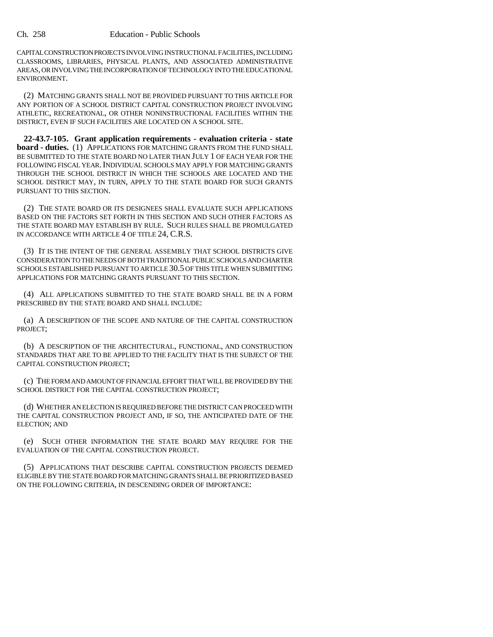CAPITAL CONSTRUCTION PROJECTS INVOLVING INSTRUCTIONAL FACILITIES, INCLUDING CLASSROOMS, LIBRARIES, PHYSICAL PLANTS, AND ASSOCIATED ADMINISTRATIVE AREAS, OR INVOLVING THE INCORPORATION OF TECHNOLOGY INTO THE EDUCATIONAL ENVIRONMENT.

(2) MATCHING GRANTS SHALL NOT BE PROVIDED PURSUANT TO THIS ARTICLE FOR ANY PORTION OF A SCHOOL DISTRICT CAPITAL CONSTRUCTION PROJECT INVOLVING ATHLETIC, RECREATIONAL, OR OTHER NONINSTRUCTIONAL FACILITIES WITHIN THE DISTRICT, EVEN IF SUCH FACILITIES ARE LOCATED ON A SCHOOL SITE.

**22-43.7-105. Grant application requirements - evaluation criteria - state board - duties.** (1) APPLICATIONS FOR MATCHING GRANTS FROM THE FUND SHALL BE SUBMITTED TO THE STATE BOARD NO LATER THAN JULY 1 OF EACH YEAR FOR THE FOLLOWING FISCAL YEAR, INDIVIDUAL SCHOOLS MAY APPLY FOR MATCHING GRANTS THROUGH THE SCHOOL DISTRICT IN WHICH THE SCHOOLS ARE LOCATED AND THE SCHOOL DISTRICT MAY, IN TURN, APPLY TO THE STATE BOARD FOR SUCH GRANTS PURSUANT TO THIS SECTION.

(2) THE STATE BOARD OR ITS DESIGNEES SHALL EVALUATE SUCH APPLICATIONS BASED ON THE FACTORS SET FORTH IN THIS SECTION AND SUCH OTHER FACTORS AS THE STATE BOARD MAY ESTABLISH BY RULE. SUCH RULES SHALL BE PROMULGATED IN ACCORDANCE WITH ARTICLE 4 OF TITLE 24, C.R.S.

(3) IT IS THE INTENT OF THE GENERAL ASSEMBLY THAT SCHOOL DISTRICTS GIVE CONSIDERATION TO THE NEEDS OF BOTH TRADITIONAL PUBLIC SCHOOLS AND CHARTER SCHOOLS ESTABLISHED PURSUANT TO ARTICLE 30.5 OF THIS TITLE WHEN SUBMITTING APPLICATIONS FOR MATCHING GRANTS PURSUANT TO THIS SECTION.

(4) ALL APPLICATIONS SUBMITTED TO THE STATE BOARD SHALL BE IN A FORM PRESCRIBED BY THE STATE BOARD AND SHALL INCLUDE:

(a) A DESCRIPTION OF THE SCOPE AND NATURE OF THE CAPITAL CONSTRUCTION PROJECT;

(b) A DESCRIPTION OF THE ARCHITECTURAL, FUNCTIONAL, AND CONSTRUCTION STANDARDS THAT ARE TO BE APPLIED TO THE FACILITY THAT IS THE SUBJECT OF THE CAPITAL CONSTRUCTION PROJECT;

(c) THE FORM AND AMOUNT OF FINANCIAL EFFORT THAT WILL BE PROVIDED BY THE SCHOOL DISTRICT FOR THE CAPITAL CONSTRUCTION PROJECT;

(d) WHETHER AN ELECTION IS REQUIRED BEFORE THE DISTRICT CAN PROCEED WITH THE CAPITAL CONSTRUCTION PROJECT AND, IF SO, THE ANTICIPATED DATE OF THE ELECTION; AND

(e) SUCH OTHER INFORMATION THE STATE BOARD MAY REQUIRE FOR THE EVALUATION OF THE CAPITAL CONSTRUCTION PROJECT.

(5) APPLICATIONS THAT DESCRIBE CAPITAL CONSTRUCTION PROJECTS DEEMED ELIGIBLE BY THE STATE BOARD FOR MATCHING GRANTS SHALL BE PRIORITIZED BASED ON THE FOLLOWING CRITERIA, IN DESCENDING ORDER OF IMPORTANCE: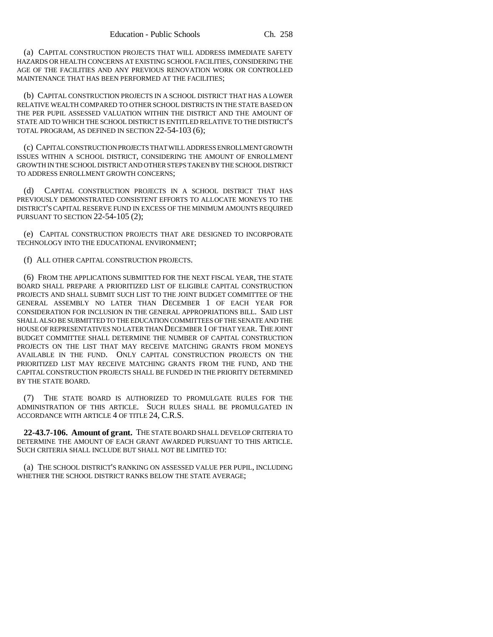(a) CAPITAL CONSTRUCTION PROJECTS THAT WILL ADDRESS IMMEDIATE SAFETY HAZARDS OR HEALTH CONCERNS AT EXISTING SCHOOL FACILITIES, CONSIDERING THE AGE OF THE FACILITIES AND ANY PREVIOUS RENOVATION WORK OR CONTROLLED MAINTENANCE THAT HAS BEEN PERFORMED AT THE FACILITIES;

(b) CAPITAL CONSTRUCTION PROJECTS IN A SCHOOL DISTRICT THAT HAS A LOWER RELATIVE WEALTH COMPARED TO OTHER SCHOOL DISTRICTS IN THE STATE BASED ON THE PER PUPIL ASSESSED VALUATION WITHIN THE DISTRICT AND THE AMOUNT OF STATE AID TO WHICH THE SCHOOL DISTRICT IS ENTITLED RELATIVE TO THE DISTRICT'S TOTAL PROGRAM, AS DEFINED IN SECTION 22-54-103 (6);

(c) CAPITAL CONSTRUCTION PROJECTS THAT WILL ADDRESS ENROLLMENT GROWTH ISSUES WITHIN A SCHOOL DISTRICT, CONSIDERING THE AMOUNT OF ENROLLMENT GROWTH IN THE SCHOOL DISTRICT AND OTHER STEPS TAKEN BY THE SCHOOL DISTRICT TO ADDRESS ENROLLMENT GROWTH CONCERNS;

(d) CAPITAL CONSTRUCTION PROJECTS IN A SCHOOL DISTRICT THAT HAS PREVIOUSLY DEMONSTRATED CONSISTENT EFFORTS TO ALLOCATE MONEYS TO THE DISTRICT'S CAPITAL RESERVE FUND IN EXCESS OF THE MINIMUM AMOUNTS REQUIRED PURSUANT TO SECTION 22-54-105 (2);

(e) CAPITAL CONSTRUCTION PROJECTS THAT ARE DESIGNED TO INCORPORATE TECHNOLOGY INTO THE EDUCATIONAL ENVIRONMENT;

(f) ALL OTHER CAPITAL CONSTRUCTION PROJECTS.

(6) FROM THE APPLICATIONS SUBMITTED FOR THE NEXT FISCAL YEAR, THE STATE BOARD SHALL PREPARE A PRIORITIZED LIST OF ELIGIBLE CAPITAL CONSTRUCTION PROJECTS AND SHALL SUBMIT SUCH LIST TO THE JOINT BUDGET COMMITTEE OF THE GENERAL ASSEMBLY NO LATER THAN DECEMBER 1 OF EACH YEAR FOR CONSIDERATION FOR INCLUSION IN THE GENERAL APPROPRIATIONS BILL. SAID LIST SHALL ALSO BE SUBMITTED TO THE EDUCATION COMMITTEES OF THE SENATE AND THE HOUSE OF REPRESENTATIVES NO LATER THAN DECEMBER 1 OF THAT YEAR. THE JOINT BUDGET COMMITTEE SHALL DETERMINE THE NUMBER OF CAPITAL CONSTRUCTION PROJECTS ON THE LIST THAT MAY RECEIVE MATCHING GRANTS FROM MONEYS AVAILABLE IN THE FUND. ONLY CAPITAL CONSTRUCTION PROJECTS ON THE PRIORITIZED LIST MAY RECEIVE MATCHING GRANTS FROM THE FUND, AND THE CAPITAL CONSTRUCTION PROJECTS SHALL BE FUNDED IN THE PRIORITY DETERMINED BY THE STATE BOARD.

(7) THE STATE BOARD IS AUTHORIZED TO PROMULGATE RULES FOR THE ADMINISTRATION OF THIS ARTICLE. SUCH RULES SHALL BE PROMULGATED IN ACCORDANCE WITH ARTICLE 4 OF TITLE 24, C.R.S.

**22-43.7-106. Amount of grant.** THE STATE BOARD SHALL DEVELOP CRITERIA TO DETERMINE THE AMOUNT OF EACH GRANT AWARDED PURSUANT TO THIS ARTICLE. SUCH CRITERIA SHALL INCLUDE BUT SHALL NOT BE LIMITED TO:

(a) THE SCHOOL DISTRICT'S RANKING ON ASSESSED VALUE PER PUPIL, INCLUDING WHETHER THE SCHOOL DISTRICT RANKS BELOW THE STATE AVERAGE;